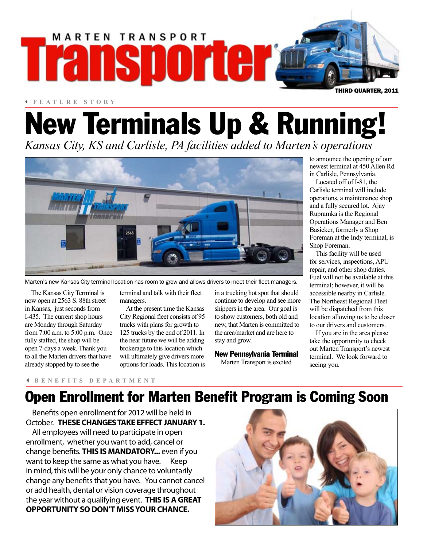

3 **FEATURE STORY**

# New Terminals Up & Running!

*Kansas City, KS and Carlisle, PA facilities added to Marten's operations*



Marten's new Kansas City terminal location has room to grow and allows drivers to meet their fleet managers.

The Kansas City Terminal is now open at 2563 S. 88th street in Kansas, just seconds from I-435. The current shop hours are Monday through Saturday from 7:00 a.m. to 5:00 p.m. Once fully staffed, the shop will be open 7-days a week. Thank you to all the Marten drivers that have already stopped by to see the

terminal and talk with their fleet managers.

At the present time the Kansas City Regional fleet consists of 95 trucks with plans for growth to 125 trucks by the end of 2011. In the near future we will be adding brokerage to this location which will ultimately give drivers more options for loads. This location is

in a trucking hot spot that should continue to develop and see more shippers in the area. Our goal is to show customers, both old and new, that Marten is committed to the area/market and are here to stay and grow.

#### New Pennsylvania Terminal

Marten Transport is excited

to announce the opening of our newest terminal at 450 Allen Rd in Carlisle, Pennsylvania.

Located off of I-81, the Carlisle terminal will include operations, a maintenance shop and a fully secured lot. Ajay Rupramka is the Regional Operations Manager and Ben Basicker, formerly a Shop Foreman at the Indy terminal, is Shop Foreman.

This facility will be used for services, inspections, APU repair, and other shop duties. Fuel will not be available at this terminal; however, it will be accessible nearby in Carlisle. The Northeast Regional Fleet will be dispatched from this location allowing us to be closer to our drivers and customers.

If you are in the area please take the opportunity to check out Marten Transport's newest terminal. We look forward to seeing you.

#### 3 **BENEFITS DEPARTMENT**

### Open Enrollment for Marten Benefit Program is Coming Soon

Benefits open enrollment for 2012 will be held in October. **THESE CHANGES TAKE EFFECT JANUARY 1.** 

All employees will need to participate in open enrollment, whether you want to add, cancel or change benefits. **THIS IS MANDATORY...** even if you want to keep the same as what you have. Keep in mind, this will be your only chance to voluntarily change any benefits that you have. You cannot cancel or add health, dental or vision coverage throughout the year without a qualifying event. **THIS IS A GREAT OPPORTUNITY SO DON'T MISS YOUR CHANCE.**

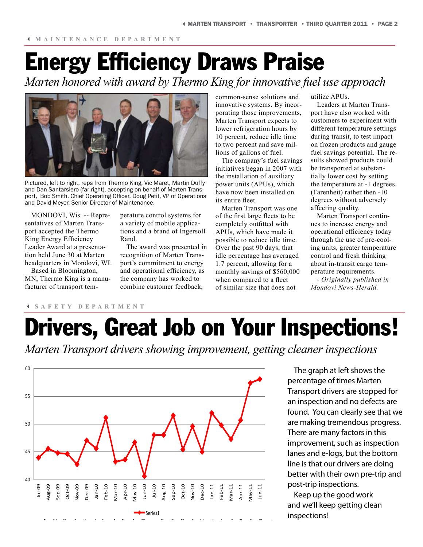# Energy Efficiency Draws Praise

*Marten honored with award by Thermo King for innovative fuel use approach*



Pictured, left to right, reps from Thermo King, Vic Maret, Martin Duffy and Dan Santarsiero (far right), accepting on behalf of Marten Transport, Bob Smith, Chief Operating Officer, Doug Petit, VP of Operations and David Meyer, Senior Director of Maintenance.

MONDOVI, Wis. -- Representatives of Marten Transport accepted the Thermo King Energy Efficiency Leader Award at a presentation held June 30 at Marten headquarters in Mondovi, WI.

Based in Bloomington, MN, Thermo King is a manufacturer of transport tem-

3 **SAFETY DEPARTMENT**

perature control systems for a variety of mobile applications and a brand of Ingersoll Rand.

The award was presented in recognition of Marten Transport's commitment to energy and operational efficiency, as the company has worked to combine customer feedback,

common-sense solutions and innovative systems. By incorporating those improvements, Marten Transport expects to lower refrigeration hours by 10 percent, reduce idle time to two percent and save millions of gallons of fuel.

The company's fuel savings initiatives began in 2007 with the installation of auxiliary power units (APUs), which have now been installed on its entire fleet.

Marten Transport was one of the first large fleets to be completely outfitted with APUs, which have made it possible to reduce idle time. Over the past 90 days, that idle percentage has averaged 1.7 percent, allowing for a monthly savings of \$560,000 when compared to a fleet of similar size that does not

utilize APUs.

Leaders at Marten Transport have also worked with customers to experiment with different temperature settings during transit, to test impact on frozen products and gauge fuel savings potential. The results showed products could be transported at substantially lower cost by setting the temperature at -1 degrees (Farenheit) rather then -10 degrees without adversely affecting quality.

Marten Transport continues to increase energy and operational efficiency today through the use of pre-cooling units, greater temperature control and fresh thinking about in-transit cargo temperature requirements.

*- Originally published in Mondovi News-Herald.*

# **Drivers, Great Job on Your Inspections!**

*Marten Transport drivers showing improvement, getting cleaner inspections*



The graph at left shows the percentage of times Marten Transport drivers are stopped for an inspection and no defects are found. You can clearly see that we are making tremendous progress. There are many factors in this improvement, such as inspection lanes and e-logs, but the bottom line is that our drivers are doing better with their own pre-trip and post-trip inspections.

Keep up the good work and we'll keep getting clean inspections!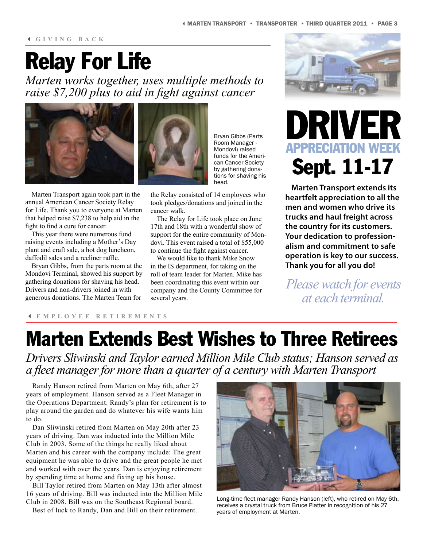#### 3 **GIVING BACK**

# Relay For Life

*Marten works together, uses multiple methods to raise \$7,200 plus to aid in fight against cancer*



Marten Transport again took part in the annual American Cancer Society Relay for Life. Thank you to everyone at Marten that helped raise \$7,238 to help aid in the fight to find a cure for cancer.

This year there were numerous fund raising events including a Mother's Day plant and craft sale, a hot dog luncheon, daffodil sales and a recliner raffle.

Bryan Gibbs, from the parts room at the Mondovi Terminal, showed his support by gathering donations for shaving his head. Drivers and non-drivers joined in with generous donations. The Marten Team for

Bryan Gibbs (Parts Room Manager - Mondovi) raised funds for the American Cancer Society by gathering donations for shaving his head.

the Relay consisted of 14 employees who took pledges/donations and joined in the cancer walk.

The Relay for Life took place on June 17th and 18th with a wonderful show of support for the entire community of Mondovi. This event raised a total of \$55,000 to continue the fight against cancer.

We would like to thank Mike Snow in the IS department, for taking on the roll of team leader for Marten. Mike has been coordinating this event within our company and the County Committee for several years.



# DRIVE **APPRECIATION WEEK** Sept. 11-17

**Marten Transport extends its heartfelt appreciation to all the men and women who drive its trucks and haul freight across the country for its customers. Your dedication to professionalism and commitment to safe operation is key to our success. Thank you for all you do!**

*Please watch for events at each terminal.*

#### 3 **EMPLOYEE RETIREMENTS**

### Marten Extends Best Wishes to Three Retirees

*Drivers Sliwinski and Taylor earned Million Mile Club status; Hanson served as a fleet manager for more than a quarter of a century with Marten Transport*

Randy Hanson retired from Marten on May 6th, after 27 years of employment. Hanson served as a Fleet Manager in the Operations Department. Randy's plan for retirement is to play around the garden and do whatever his wife wants him to do.

Dan Sliwinski retired from Marten on May 20th after 23 years of driving. Dan was inducted into the Million Mile Club in 2003. Some of the things he really liked about Marten and his career with the company include: The great equipment he was able to drive and the great people he met and worked with over the years. Dan is enjoying retirement by spending time at home and fixing up his house.

Bill Taylor retired from Marten on May 13th after almost 16 years of driving. Bill was inducted into the Million Mile Club in 2008. Bill was on the Southeast Regional board.

Best of luck to Randy, Dan and Bill on their retirement.



Long-time fleet manager Randy Hanson (left), who retired on May 6th, receives a crystal truck from Bruce Platter in recognition of his 27 years of employment at Marten.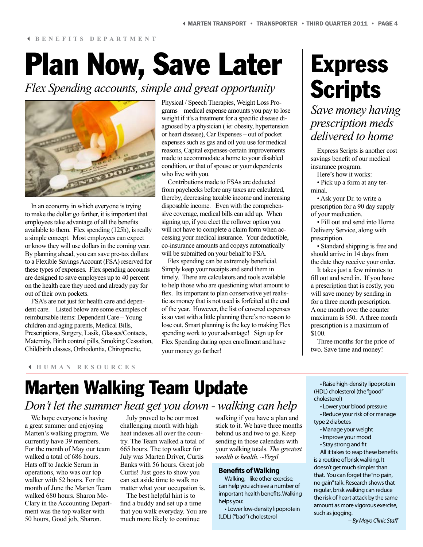#### 3 **BENEFITS DEPARTMENT**

# Plan Now, Save Later

*Flex Spending accounts, simple and great opportunity*



In an economy in which everyone is trying to make the dollar go farther, it is important that employees take advantage of all the benefits available to them. Flex spending (125h), is really a simple concept. Most employees can expect or know they will use dollars in the coming year. By planning ahead, you can save pre-tax dollars to a Flexible Savings Account (FSA) reserved for these types of expenses. Flex spending accounts are designed to save employees up to 40 percent on the health care they need and already pay for out of their own pockets.

FSA's are not just for health care and dependent care. Listed below are some examples of reimbursable items: Dependent Care – Young children and aging parents, Medical Bills, Prescriptions, Surgery, Lasik, Glasses/Contacts, Maternity, Birth control pills, Smoking Cessation, Childbirth classes, Orthodontia, Chiropractic,

Physical / Speech Therapies, Weight Loss Programs – medical expense amounts you pay to lose weight if it's a treatment for a specific disease diagnosed by a physician ( ie: obesity, hypertension or heart disease), Car Expenses – out of pocket expenses such as gas and oil you use for medical reasons, Capital expenses-certain improvements made to accommodate a home to your disabled condition, or that of spouse or your dependents who live with you.

Contributions made to FSAs are deducted from paychecks before any taxes are calculated, thereby, decreasing taxable income and increasing disposable income. Even with the comprehensive coverage, medical bills can add up. When signing up, if you elect the rollover option you will not have to complete a claim form when accessing your medical insurance. Your deductible, co-insurance amounts and copays automatically will be submitted on your behalf to FSA.

Flex spending can be extremely beneficial. Simply keep your receipts and send them in timely. There are calculators and tools available to help those who are questioning what amount to flex. Its important to plan conservative yet realistic as money that is not used is forfeited at the end of the year. However, the list of covered expenses is so vast with a little planning there's no reason to lose out. Smart planning is the key to making Flex spending work to your advantage! Sign up for Flex Spending during open enrollment and have your money go farther!

# Express **Scripts**

### *Save money having prescription meds delivered to home*

Express Scripts is another cost savings benefit of our medical insurance program.

Here's how it works:

• Pick up a form at any terminal.

• Ask your Dr. to write a prescription for a 90 day supply of your medication.

• Fill out and send into Home Delivery Service, along with prescription.

• Standard shipping is free and should arrive in 14 days from the date they receive your order.

It takes just a few minutes to fill out and send in. If you have a prescription that is costly, you will save money by sending in for a three month prescription. A one month over the counter maximum is \$50. A three month prescription is a maximum of \$100.

Three months for the price of two. Save time and money!

#### 3 **HUMAN RESOURCES**

### Marten Walking Team Update *Don't let the summer heat get you down - walking can help*

We hope everyone is having a great summer and enjoying Marten's walking program. We currently have 39 members. For the month of May our team walked a total of 686 hours. Hats off to Jackie Serum in operations, who was our top walker with 52 hours. For the month of June the Marten Team walked 680 hours. Sharon Mc-Clary in the Accounting Department was the top walker with 50 hours, Good job, Sharon.

July proved to be our most challenging month with high heat indexes all over the country. The Team walked a total of 665 hours. The top walker for July was Marten Driver, Curtis Banks with 56 hours. Great job Curtis! Just goes to show you can set aside time to walk no matter what your occupation is.

The best helpful hint is to find a buddy and set up a time that you walk everyday. You are much more likely to continue

walking if you have a plan and stick to it. We have three months behind us and two to go. Keep sending in those calendars with your walking totals. *The greatest wealth is health. ~Virgil*

#### **Benefits of Walking**

Walking, like other exercise, can help you achieve a number of important health benefits. Walking helps you:

• Lower low-density lipoprotein (LDL) ("bad") cholesterol

• Raise high-density lipoprotein (HDL) cholesterol (the "good" cholesterol)

• Lower your blood pressure • Reduce your risk of or manage type 2 diabetes

- Manage your weight
- Improve your mood
- Stay strong and fit

All it takes to reap these benefits is a routine of brisk walking. It doesn't get much simpler than that. You can forget the "no pain, no gain" talk. Research shows that regular, brisk walking can reduce the risk of heart attack by the same amount as more vigorous exercise, such as jogging.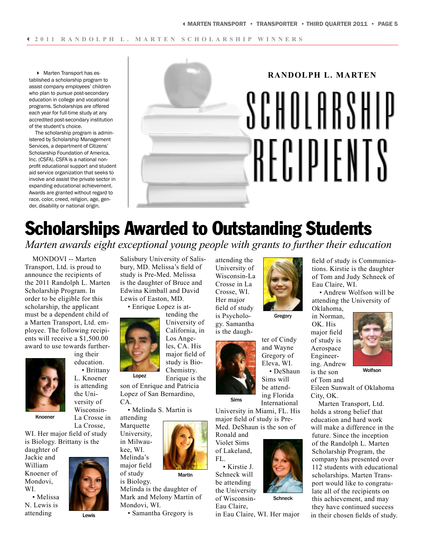4 Marten Transport has established a scholarship program to assist company employees' children who plan to pursue post-secondary education in college and vocational programs. Scholarships are offered each year for full-time study at any accredited post-secondary institution of the student's choice.

The scholarship program is administered by Scholarship Management Services, a department of Citizens' Scholarship Foundation of America, Inc. (CSFA). CSFA is a national nonprofit educational support and student aid service organization that seeks to involve and assist the private sector in expanding educational achievement. Awards are granted without regard to race, color, creed, religion, age, gender, disability or national origin.

# **RANDOLPH L. MARTEN** SCHOLARSHIP RECIPIENTS

## Scholarships Awarded to Outstanding Students

*Marten awards eight exceptional young people with grants to further their education*

MONDOVI -- Marten Transport, Ltd. is proud to announce the recipients of the 2011 Randolph L. Marten Scholarship Program. In order to be eligible for this scholarship, the applicant must be a dependent child of a Marten Transport, Ltd. employee. The following recipients will receive a \$1,500.00 award to use towards furthering their



education. • Brittany

L. Knoener is attending the University of Wisconsin-La Crosse in

Knoener

La Crosse, WI. Her major field of study is Biology. Brittany is the

daughter of Jackie and William Knoener of Mondovi, WI.

• Melissa N. Lewis is attending



Lewis

Salisbury University of Salisbury, MD. Melissa's field of study is Pre-Med. Melissa is the daughter of Bruce and Edwina Kimball and David Lewis of Easton, MD.

• Enrique Lopez is attending the



University of California, in Los Angeles, CA. His major field of study is Bio-Chemistry.

Enrique is the son of Enrique and Patricia Lopez of San Bernardino,

• Melinda S. Martin is

attending Marquette University, in Milwaukee, WI. Melinda's

major field of study

 $\mathsf{C}\Delta$ 

Martin

is Biology. Melinda is the daughter of Mark and Melony Martin of Mondovi, WI.

• Samantha Gregory is

attending the University of Wisconsin-La Crosse in La Crosse, WI. Her major field of study is Psychology. Samantha is the daugh-



and Wayne Gregory of Eleva, WI. • DeShaun Sims will be attending Florida International

**Schneck** 

University in Miami, FL. His major field of study is Pre-Med. DeShaun is the son of

Ronald and Violet Sims of Lakeland, FL.

• Kirstie J. Schneck will be attending the University of Wisconsin-Eau Claire,

in Eau Claire, WI. Her major



Gregory

ter of Cindy

Eau Claire, WI. • Andrew Wolfson will be attending the University of Oklahoma, in Norman, OK. His

field of study is Communications. Kirstie is the daughter of Tom and Judy Schneck of

major field of study is Aerospace Engineering. Andrew is the son

of Tom and



**Wolfson** 

Eileen Sunwalt of Oklahoma City, OK.

Marten Transport, Ltd. holds a strong belief that education and hard work will make a difference in the future. Since the inception of the Randolph L. Marten Scholarship Program, the company has presented over 112 students with educational scholarships. Marten Transport would like to congratulate all of the recipients on this achievement, and may they have continued success in their chosen fields of study.